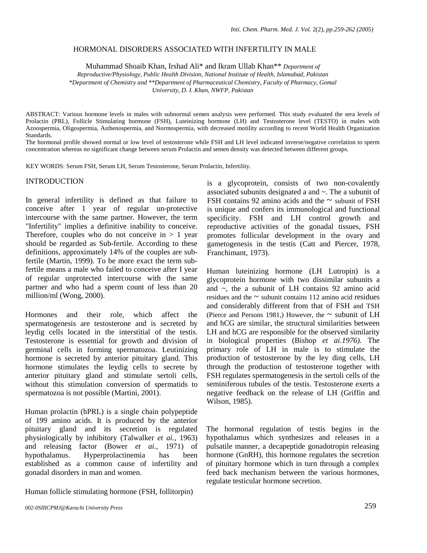#### HORMONAL DISORDERS ASSOCIATED WITH INFERTILITY IN MALE

Muhammad Shoaib Khan, Irshad Ali\* and Ikram Ullab Khan\*\* *Department of* 

*Reproductive/Physiology, Public Health Division, National Institute of Health, Islamabad, Pakistan \*Department of Chemistry and \*\*Department of Pharmaceutical Chemistry, Faculty of Pharmacy, Gomal University, D. I. Khan, NWFP, Pakistan* 

ABSTRACT: Various hormone levels in males with subnormal semen analysis were performed. This study evaluated the sera levels of Prolactin (PRL), Follicle Stimulating hormone (FSH), Luteinizing hormone (LH) and Testosterone level (TESTO) in males with Azoospermia, Oligospermia, Asthenospermia, and Normospermia, with decreased motility according to recent World Health Organization Standards.

The hormonal profile showed normal or low level of testosterone while FSH and LH level indicated inverse/negative correlation to sperm concentration whereas no significant change between serum Prolactin and semen density was detected between different groups.

KEY WORDS: Serum FSH, Serum LH, Serum Testosterone, Serum Prolactin, Infertility.

### INTRODUCTION

In general infertility is defined as that failure to conceive after 1 year of regular un-protective intercourse with the same partner. However, the term "Infertility" implies a definitive inability to conceive. Therefore, couples who do not conceive in  $> 1$  year should be regarded as Sub-fertile. According to these definitions, approximately 14% of the couples are subfertile (Martin, 1999). To be more exact the term subfertile means a male who failed to conceive after I year of regular unprotected intercourse with the same partner and who had a sperm count of less than 20 million/ml (Wong, 2000).

Hormones and their role, which affect the spermatogenesis are testosterone and is secreted by leydig cells located in the interstitial of the testis. Testosterone is essential for growth and division of germinal cells in forming spermatozoa. Leutinizing hormone is secreted by anterior pituitary gland. This hormone stimulates the leydig cells to secrete by anterior pituitary gland and stimulate sertoli cells, without this stimulation conversion of spermatids to spermatozoa is not possible (Martini, 2001).

Human prolactin (hPRL) is a single chain polypeptide of 199 amino acids. It is produced by the anterior pituitary gland and its secretion is regulated physiologically by inhibitory (Talwalker *et ai.,* 1963) and releasing factor (Bower *et ai.,* 1971) of hypothalamus. Hyperprolactinemia has been established as a common cause of infertility and gonadal disorders in man and women.

Human follicle stimulating hormone (FSH, follitorpin)

is a glycoprotein, consists of two non-covalently associated subunits designated a and ~. The a subunit of FSH contains 92 amino acids and the  $\sim$  subunit of FSH is unique and confers its immunological and functional specificity. FSH and LH control growth and reproductive activities of the gonadal tissues, FSH promotes follicular development in the ovary and gametogenesis in the testis (Catt and Piercer, 1978, Franchimant, 1973).

Human luteinizing hormone (LH Lutropin) is a glycoprotein hormone with two dissimilar subunits a and  $\sim$ , the a subunit of LH contains 92 amino acid residues and the  $\sim$  subunit contains 112 amino acid residues and considerably different from that of FSH and TSH (Pierce and Persons 1981,) However, the  $\sim$  subunit of LH and hCG are similar, the structural similarities between LH and hCG are responsible for the observed similarity in biological properties (Bishop *et ai.1976).* The primary role of LH in male is to stimulate the production of testosterone by the ley ding cells, LH through the production of testosterone together with FSH regulates spermatogenesis in the sertoli cells of the seminiferous tubules of the testis. Testosterone exerts a negative feedback on the release of LH (Griffin and Wilson, 1985).

The hormonal regulation of testis begins in the hypothalamus which synthesizes and releases in a pulsatile manner, a decapeptide gonadotropin releasing hormone (GnRH), this hormone regulates the secretion of pituitary hormone which in turn through a complex feed back mechanism between the various hormones, regulate testicular hormone secretion.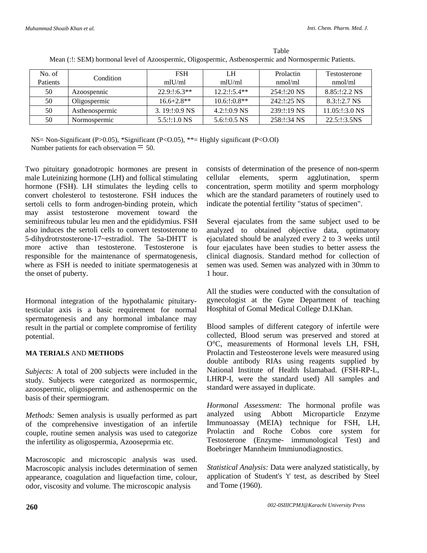| No. of          | Condition      | <b>FSH</b>      | LH                 | <b>Prolactin</b> | <b>Testosterone</b> |
|-----------------|----------------|-----------------|--------------------|------------------|---------------------|
| <b>Patients</b> |                | $m$ lU/ml       | mlll/ml            | mmol/ml          | nmol/ml             |
| 50              | Azoospennic    | $22.9:1:6.3**$  | $12.2:1:5.4**$     | 254:!:20 NS      | $8.85:1:2.2$ NS     |
| 50              | Oligospermic   | $16.6 + 2.8$ ** | $10.6:1:0.8**$     | $242:1:25$ NS    | $8.3:1:2.7$ NS      |
| 50              | Asthenospermic | $3.19:1:0.9$ NS | $4.2:1:0.9$ NS     | 239:1:19 NS      | $11.05:1:3.0$ NS    |
| 50              | Normospermic   | $5.5$ :!:1.0 NS | $5.6$ : $1:0.5$ NS | 258:1:34 NS      | 22.5:1:3.5NS        |

Table Mean (:!: SEM) hormonal level of Azoospermic, Oligospermic, Astbenospermic and Normospermic Patients.

NS= Non-Significant (P>0.05), \*Significant (P<O.05), \*\*= Highly significant (P<O.Ol) Number patients for each observation  $=$  50.

Two pituitary gonadotropic hormones are present in male Luteinizing hormone (LH) and follical stimulating hormone (FSH). LH stimulates the leyding cells to convert cholesterol to testosterone. FSH induces the sertoli cells to form androgen-binding protein, which may assist testosterone movement toward the seminifreous tubular leu men and the epididymius. FSH also induces the sertoli cells to convert testosterone to 5-dihydrotrstosterone-17~estradiol. The 5a-DHTT is more active than testosterone. Testosterone is responsible for the maintenance of spermatogenesis, where as FSH is needed to initiate spermatogenesis at the onset of puberty.

Hormonal integration of the hypothalamic pituitarytesticular axis is a basic requirement for normal spermatogenesis and any hormonal imbalance may result in the partial or complete compromise of fertility potential.

# **MA TERIALS** AND **METHODS**

*Subjects:* A total of 200 subjects were included in the study. Subjects were categorized as normospermic, azoospermic, oligospermic and asthenospermic on the basis of their spermiogram.

*Methods:* Semen analysis is usually performed as part of the comprehensive investigation of an infertile couple, routine semen analysis was used to categorize the infertility as oligospermia, Azooseprmia etc.

Macroscopic and microscopic analysis was used. Macroscopic analysis includes determination of semen appearance, coagulation and liquefaction time, colour, odor, viscosity and volume. The microscopic analysis

consists of determination of the presence of non-sperm cellular elements, sperm agglutination, sperm concentration, sperm motility and sperm morphology which are the standard parameters of routinely used to indicate the potential fertility "status of specimen".

Several ejaculates from the same subject used to be analyzed to obtained objective data, optimatory ejaculated should be analyzed every 2 to 3 weeks until four ejaculates have been studies to better assess the clinical diagnosis. Standard method for collection of semen was used. Semen was analyzed with in 30mm to 1 hour.

All the studies were conducted with the consultation of gynecologist at the Gyne Department of teaching Hosphital of Gomal Medical College D.I.Khan.

Blood samples of different category of infertile were collected, Blood serum was preserved and stored at O°C, measurements of Hormonal levels LH, FSH, Prolactin and Testeosterone levels were measured using double antibody RIAs using reagents supplied by National Institute of Health Islamabad. (FSH-RP-L, LHRP-I, were the standard used) All samples and standard were assayed in duplicate.

*Hormonal Assessment:* The hormonal profile was analyzed using Abbott Microparticle Enzyme Immunoassay (MEIA) technique for FSH, LH, Prolactin and Roche Cobos core system for Testosterone (Enzyme- immunological Test) and Boebringer Mannheim Immiunodiagnostics.

*Statistical Analysis:* Data were analyzed statistically, by application of Student's 't' test, as described by Steel and Tome (1960).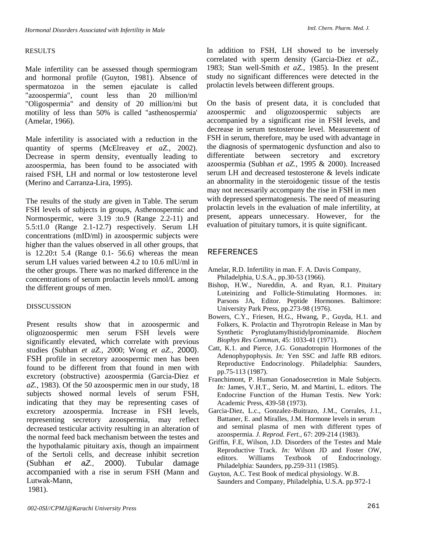# RESULTS

Male infertility can be assessed though spermiogram and hormonal profile (Guyton, 1981). Absence of spermatozoa in the semen ejaculate is called "azoospermia", count less than 20 million/ml "Oligospermia" and density of 20 million/mi but motility of less than 50% is called "asthenospermia' (Amelar, 1966).

Male infertility is associated with a reduction in the quantity of sperms (McElreavey *et aZ.,* 2002). Decrease in sperm density, eventually leading to azoospermia, has been found to be associated with raised FSH, LH and normal or low testosterone level (Merino and Carranza-Lira, 1995).

The results of the study are given in Table. The serum FSH levels of subjects in groups, Asthenospermic and Normospermic, were 3.19 :to.9 (Range 2.2-11) and 5.5:t1.0 (Range 2.1-12.7) respectively. Serum LH concentrations (mID/ml) in azoospermic subjects were higher than the values observed in all other groups, that is 12.20:t 5.4 (Range 0.1- 56.6) whereas the mean serum LH values varied between 4.2 to 10.6 mlU/ml in the other groups. There was no marked difference in the concentrations of serum prolactin levels nmol/L among the different groups of men.

# DISSCUSSION

Present results show that in azoospermic and oligozoospermic men serum FSH levels were significantly elevated, which correlate with previous studies (Subhan *et aZ.,* 2000; Wong *et aZ.,* 2000). FSH profile in secretory azoospermic men has been found to be different from that found in men with excretory (obstructive) azoospermia (Garcia-Diez *et aZ.,* 1983). Of the 50 azoospermic men in our study, 18 subjects showed normal levels of serum FSH, indicating that they may be representing cases of excretory azoospermia. Increase in FSH levels, representing secretory azoospermia, may reflect decreased testicular activity resulting in an alteration of the normal feed back mechanism between the testes and the hypothalamic pituitary axis, though an impairment of the Sertoli cells, and decrease inhibit secretion (Subhan et aZ., 2000). Tubular damage accompanied with a rise in serum FSH (Mann and Lutwak-Mann, 1981).

In addition to FSH, LH showed to be inversely correlated with sperm density (Garcia-Diez *et aZ.,*  1983; Stan well-Smith *et aZ.,* 1985). In the present study no significant differences were detected in the prolactin levels between different groups.

On the basis of present data, it is concluded that azoospermic and oligozoospermic subjects are accompanied by a significant rise in FSH levels, and decrease in serum testosterone level. Measurement of FSH in serum, therefore, may be used with advantage in the diagnosis of spermatogenic dysfunction and also to differentiate between secretory and excretory azoospermia (Subhan *et aZ.,* 1995 & 2000). Increased serum LH and decreased testosterone & levels indicate an abnormality in the steroidogenic tissue of the testis may not necessarily accompany the rise in FSH in men with depressed spermatogenesis. The need of measuring prolactin levels in the evaluation of male infertility, at present, appears unnecessary. However, for the evaluation of pituitary tumors, it is quite significant.

### REFERENCES

- Amelar, R.D. Infertility in man. F. A. Davis Company, Philadelphia, U.S.A., pp.30-53 (1966).
- Bishop, H.W., Nureddin, A. and Ryan, R.1. Pituitary Luteinizing and Follicle-Stimulating Hormones. in: Parsons JA, Editor. Peptide Hormones. Baltimore: University Park Press, pp.273-98 (1976).
- Bowers, C.Y., Friesen, H.G., Hwang, P., Guyda, H.1. and Folkers, K. Prolactin and Thyrotropin Release in Man by Synthetic Pyroglutamylhistidylprominamide. *Biochem Biophys Res Commun,* 45: 1033-41 (1971).
- Catt, K.1. and Pierce, J.G. Gonadotropin Hormones of the Adenophypophysis. *In:* Yen SSC and Jaffe RB editors. Reproductive Endocrinology. Philadelphia: Saunders, pp.75-113 (1987).
- Franchimont, P. Human Gonadosecretion in Male Subjects. *In:* James, V.H.T., Serio, M. and Martini, L. editors. The Endocrine Function of the Human Testis. New York: Academic Press, 439-58 (1973).
- Garcia-Diez, L.c., Gonzalez-Buitrazo, J.M., Corrales, J.1., Battaner, E. and Miralles, J.M. Hormone levels in serum and seminal plasma of men with different types of azoospermia. *J. Reprod. Fert.,* 67: 209-214 (1983).
- Griffin, F.E, Wilson, J.D. Disorders of the Testes and Male Reproductive Track. *In:* Wilson JD and Foster OW, editors. Williams Textbook of Endocrinology. Philadelphia: Saunders, pp.259-311 (1985).
- Guyton, A.C. Test Book of medical physiology. W.B. Saunders and Company, Philadelphia, U.S.A. pp.972-1